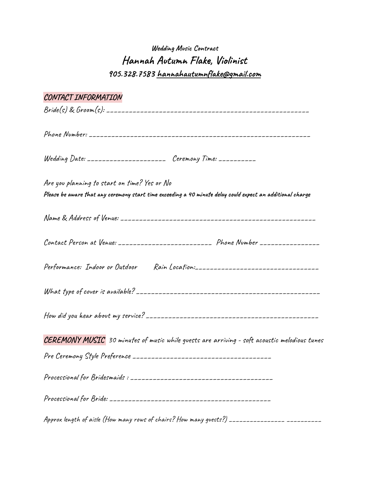## **Wedding Music Contract Hannah Autumn Flake, Violinist 905.328.7583 [hannahautumnflake@gmail.com](mailto:hannahautumnflake@gmail.com)**

| CONTACT INFORMATION                                                                                        |  |
|------------------------------------------------------------------------------------------------------------|--|
|                                                                                                            |  |
|                                                                                                            |  |
| Wedding Date: ____________________ Ceremony Time: _________                                                |  |
| Are you planning to start on time? Yes or No                                                               |  |
| Please be aware that any ceremony start time exceeding a 40 minute delay could expect an additional charge |  |
|                                                                                                            |  |
| Contact Person at Venue: __________________________ Phone Number _______________                           |  |
| Performance: Indoor or Outdoor Rain Location:___________________________________                           |  |
|                                                                                                            |  |
|                                                                                                            |  |
| CEREMONY MUSIC 30 minutes of music while guests are arriving - soft acoustic melodious tunes               |  |
|                                                                                                            |  |
|                                                                                                            |  |
|                                                                                                            |  |
| Approx length of aisle (How many rows of chairs? How many guests?) _______________ __________              |  |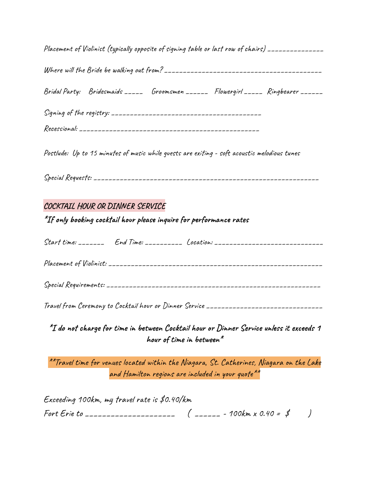Placement of Violinist (typically opposite of signing table or last row of chairs) \_\_\_\_\_\_\_\_\_\_\_\_\_\_\_

Where will the Bride be walking out from? \_\_\_\_\_\_\_\_\_\_\_\_\_\_\_\_\_\_\_\_\_\_\_\_\_\_\_\_\_\_\_\_\_\_\_\_\_\_\_\_\_\_

Bridal Party: Bridesmaids \_\_\_\_\_ Groomsmen \_\_\_\_\_\_ Flowergirl \_\_\_\_\_ Ringbearer \_\_\_\_\_\_

Postlude: Up to 15 minutes of music while guests are exiting - soft acoustic melodious tunes

Special Requests: \_\_\_\_\_\_\_\_\_\_\_\_\_\_\_\_\_\_\_\_\_\_\_\_\_\_\_\_\_\_\_\_\_\_\_\_\_\_\_\_\_\_\_\_\_\_\_\_\_\_\_\_\_\_\_\_\_\_\_\_

## **COCKTAIL HOUR OR DINNER SERVICE**

**\*If only booking cocktail hour please inquire for performance rates**

|  | Start time: ________ End Time: ___________ Location: ___________________________ |
|--|----------------------------------------------------------------------------------|
|  |                                                                                  |
|  |                                                                                  |

Travel from Ceremony to Cocktail hour or Dinner Service \_\_\_\_\_\_\_\_\_\_\_\_\_\_\_\_\_\_\_\_\_\_\_\_\_\_\_\_\_\_\_

**\*I do not charge for time in between Cocktail hour or Dinner Service unless it exceeds 1 hour of time in between \***

\*\*Travel time for venues located within the Niagara, St. Catherines, Niagara on the Lake and Hamilton regions are included in your quote  $^{\star\star}$ 

| Exceeding 100km, my travel rate is $$$ 0.40/km |  |
|------------------------------------------------|--|
|                                                |  |